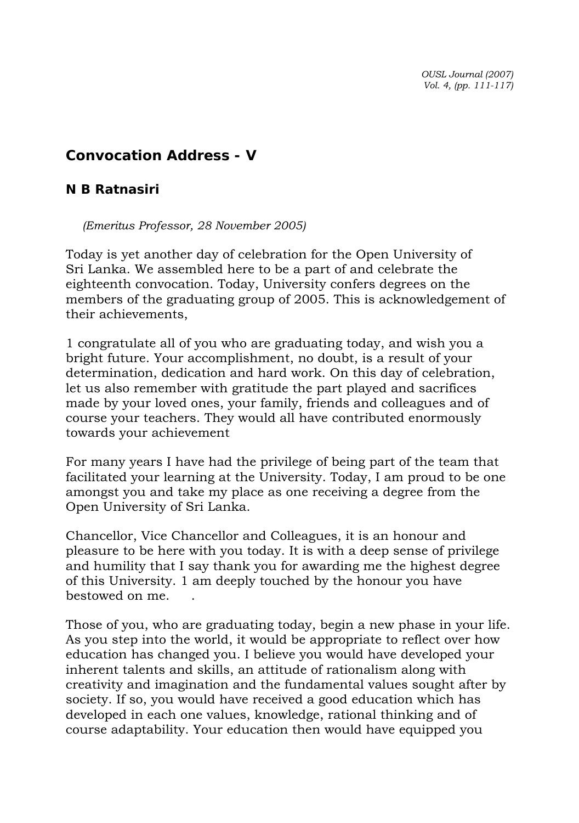*OUSL Journal (2007) Vol. 4, (pp. 111-117)* 

## **Convocation Address - V**

## *N B Ratnasiri*

*(Emeritus Professor, 28 November 2005)* 

Today is yet another day of celebration for the Open University of Sri Lanka. We assembled here to be a part of and celebrate the eighteenth convocation. Today, University confers degrees on the members of the graduating group of 2005. This is acknowledgement of their achievements,

1 congratulate all of you who are graduating today, and wish you a bright future. Your accomplishment, no doubt, is a result of your determination, dedication and hard work. On this day of celebration, let us also remember with gratitude the part played and sacrifices made by your loved ones, your family, friends and colleagues and of course your teachers. They would all have contributed enormously towards your achievement

For many years I have had the privilege of being part of the team that facilitated your learning at the University. Today, I am proud to be one amongst you and take my place as one receiving a degree from the Open University of Sri Lanka.

Chancellor, Vice Chancellor and Colleagues, it is an honour and pleasure to be here with you today. It is with a deep sense of privilege and humility that I say thank you for awarding me the highest degree of this University. 1 am deeply touched by the honour you have bestowed on me. .

Those of you, who are graduating today, begin a new phase in your life. As you step into the world, it would be appropriate to reflect over how education has changed you. I believe you would have developed your inherent talents and skills, an attitude of rationalism along with creativity and imagination and the fundamental values sought after by society. If so, you would have received a good education which has developed in each one values, knowledge, rational thinking and of course adaptability. Your education then would have equipped you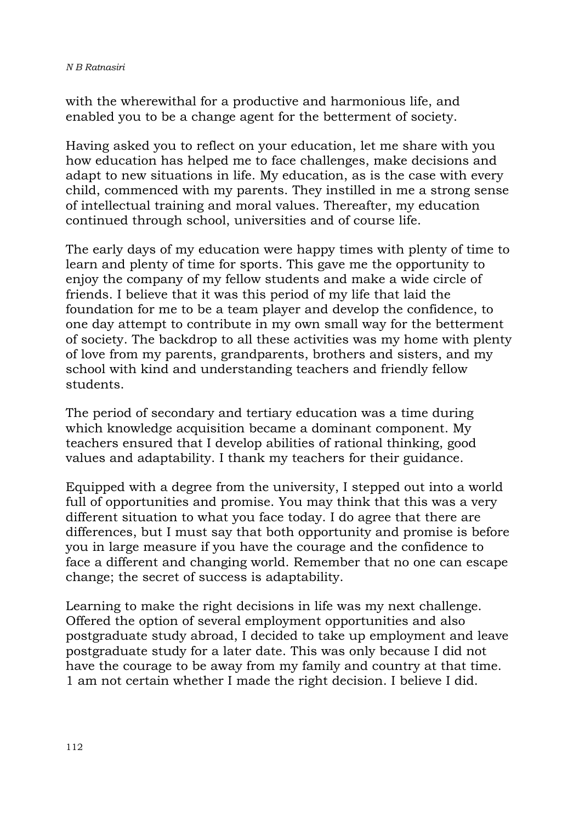with the wherewithal for a productive and harmonious life, and enabled you to be a change agent for the betterment of society.

Having asked you to reflect on your education, let me share with you how education has helped me to face challenges, make decisions and adapt to new situations in life. My education, as is the case with every child, commenced with my parents. They instilled in me a strong sense of intellectual training and moral values. Thereafter, my education continued through school, universities and of course life.

The early days of my education were happy times with plenty of time to learn and plenty of time for sports. This gave me the opportunity to enjoy the company of my fellow students and make a wide circle of friends. I believe that it was this period of my life that laid the foundation for me to be a team player and develop the confidence, to one day attempt to contribute in my own small way for the betterment of society. The backdrop to all these activities was my home with plenty of love from my parents, grandparents, brothers and sisters, and my school with kind and understanding teachers and friendly fellow students.

The period of secondary and tertiary education was a time during which knowledge acquisition became a dominant component. My teachers ensured that I develop abilities of rational thinking, good values and adaptability. I thank my teachers for their guidance.

Equipped with a degree from the university, I stepped out into a world full of opportunities and promise. You may think that this was a very different situation to what you face today. I do agree that there are differences, but I must say that both opportunity and promise is before you in large measure if you have the courage and the confidence to face a different and changing world. Remember that no one can escape change; the secret of success is adaptability.

Learning to make the right decisions in life was my next challenge. Offered the option of several employment opportunities and also postgraduate study abroad, I decided to take up employment and leave postgraduate study for a later date. This was only because I did not have the courage to be away from my family and country at that time. 1 am not certain whether I made the right decision. I believe I did.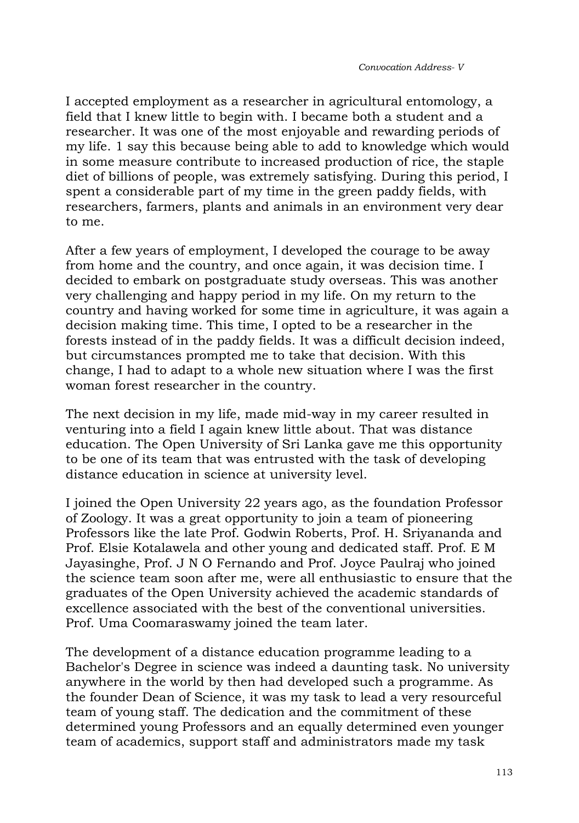I accepted employment as a researcher in agricultural entomology, a field that I knew little to begin with. I became both a student and a researcher. It was one of the most enjoyable and rewarding periods of my life. 1 say this because being able to add to knowledge which would in some measure contribute to increased production of rice, the staple diet of billions of people, was extremely satisfying. During this period, I spent a considerable part of my time in the green paddy fields, with researchers, farmers, plants and animals in an environment very dear to me.

After a few years of employment, I developed the courage to be away from home and the country, and once again, it was decision time. I decided to embark on postgraduate study overseas. This was another very challenging and happy period in my life. On my return to the country and having worked for some time in agriculture, it was again a decision making time. This time, I opted to be a researcher in the forests instead of in the paddy fields. It was a difficult decision indeed, but circumstances prompted me to take that decision. With this change, I had to adapt to a whole new situation where I was the first woman forest researcher in the country.

The next decision in my life, made mid-way in my career resulted in venturing into a field I again knew little about. That was distance education. The Open University of Sri Lanka gave me this opportunity to be one of its team that was entrusted with the task of developing distance education in science at university level.

I joined the Open University 22 years ago, as the foundation Professor of Zoology. It was a great opportunity to join a team of pioneering Professors like the late Prof. Godwin Roberts, Prof. H. Sriyananda and Prof. Elsie Kotalawela and other young and dedicated staff. Prof. E M Jayasinghe, Prof. J N O Fernando and Prof. Joyce Paulraj who joined the science team soon after me, were all enthusiastic to ensure that the graduates of the Open University achieved the academic standards of excellence associated with the best of the conventional universities. Prof. Uma Coomaraswamy joined the team later.

The development of a distance education programme leading to a Bachelor's Degree in science was indeed a daunting task. No university anywhere in the world by then had developed such a programme. As the founder Dean of Science, it was my task to lead a very resourceful team of young staff. The dedication and the commitment of these determined young Professors and an equally determined even younger team of academics, support staff and administrators made my task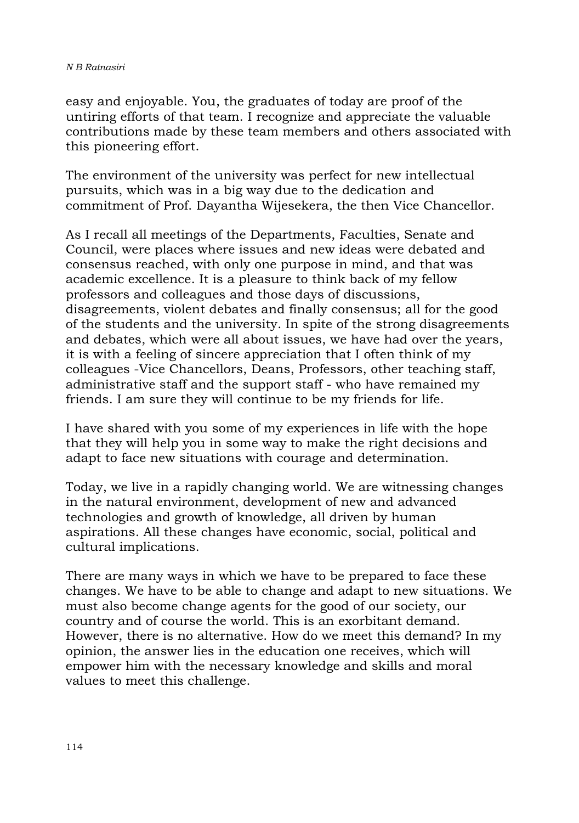easy and enjoyable. You, the graduates of today are proof of the untiring efforts of that team. I recognize and appreciate the valuable contributions made by these team members and others associated with this pioneering effort.

The environment of the university was perfect for new intellectual pursuits, which was in a big way due to the dedication and commitment of Prof. Dayantha Wijesekera, the then Vice Chancellor.

As I recall all meetings of the Departments, Faculties, Senate and Council, were places where issues and new ideas were debated and consensus reached, with only one purpose in mind, and that was academic excellence. It is a pleasure to think back of my fellow professors and colleagues and those days of discussions, disagreements, violent debates and finally consensus; all for the good of the students and the university. In spite of the strong disagreements and debates, which were all about issues, we have had over the years, it is with a feeling of sincere appreciation that I often think of my colleagues -Vice Chancellors, Deans, Professors, other teaching staff, administrative staff and the support staff - who have remained my friends. I am sure they will continue to be my friends for life.

I have shared with you some of my experiences in life with the hope that they will help you in some way to make the right decisions and adapt to face new situations with courage and determination.

Today, we live in a rapidly changing world. We are witnessing changes in the natural environment, development of new and advanced technologies and growth of knowledge, all driven by human aspirations. All these changes have economic, social, political and cultural implications.

There are many ways in which we have to be prepared to face these changes. We have to be able to change and adapt to new situations. We must also become change agents for the good of our society, our country and of course the world. This is an exorbitant demand. However, there is no alternative. How do we meet this demand? In my opinion, the answer lies in the education one receives, which will empower him with the necessary knowledge and skills and moral values to meet this challenge.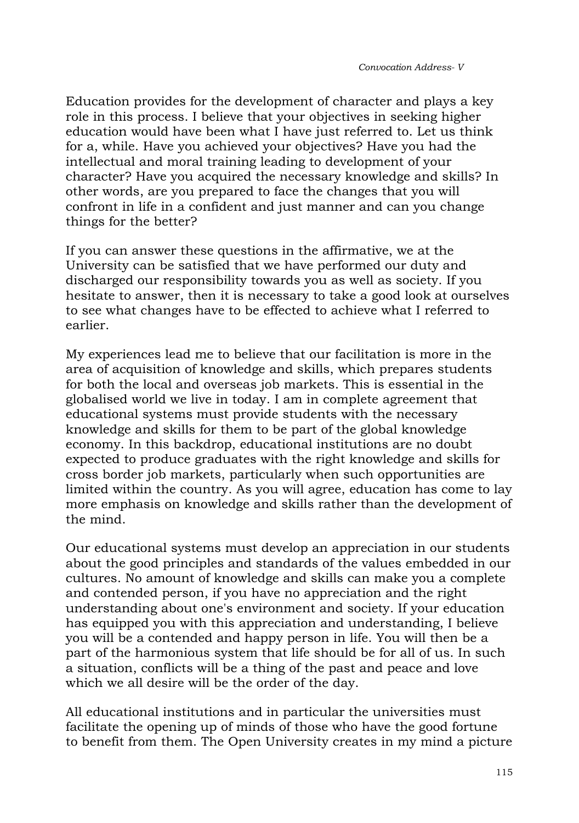Education provides for the development of character and plays a key role in this process. I believe that your objectives in seeking higher education would have been what I have just referred to. Let us think for a, while. Have you achieved your objectives? Have you had the intellectual and moral training leading to development of your character? Have you acquired the necessary knowledge and skills? In other words, are you prepared to face the changes that you will confront in life in a confident and just manner and can you change things for the better?

If you can answer these questions in the affirmative, we at the University can be satisfied that we have performed our duty and discharged our responsibility towards you as well as society. If you hesitate to answer, then it is necessary to take a good look at ourselves to see what changes have to be effected to achieve what I referred to earlier.

My experiences lead me to believe that our facilitation is more in the area of acquisition of knowledge and skills, which prepares students for both the local and overseas job markets. This is essential in the globalised world we live in today. I am in complete agreement that educational systems must provide students with the necessary knowledge and skills for them to be part of the global knowledge economy. In this backdrop, educational institutions are no doubt expected to produce graduates with the right knowledge and skills for cross border job markets, particularly when such opportunities are limited within the country. As you will agree, education has come to lay more emphasis on knowledge and skills rather than the development of the mind.

Our educational systems must develop an appreciation in our students about the good principles and standards of the values embedded in our cultures. No amount of knowledge and skills can make you a complete and contended person, if you have no appreciation and the right understanding about one's environment and society. If your education has equipped you with this appreciation and understanding, I believe you will be a contended and happy person in life. You will then be a part of the harmonious system that life should be for all of us. In such a situation, conflicts will be a thing of the past and peace and love which we all desire will be the order of the day.

All educational institutions and in particular the universities must facilitate the opening up of minds of those who have the good fortune to benefit from them. The Open University creates in my mind a picture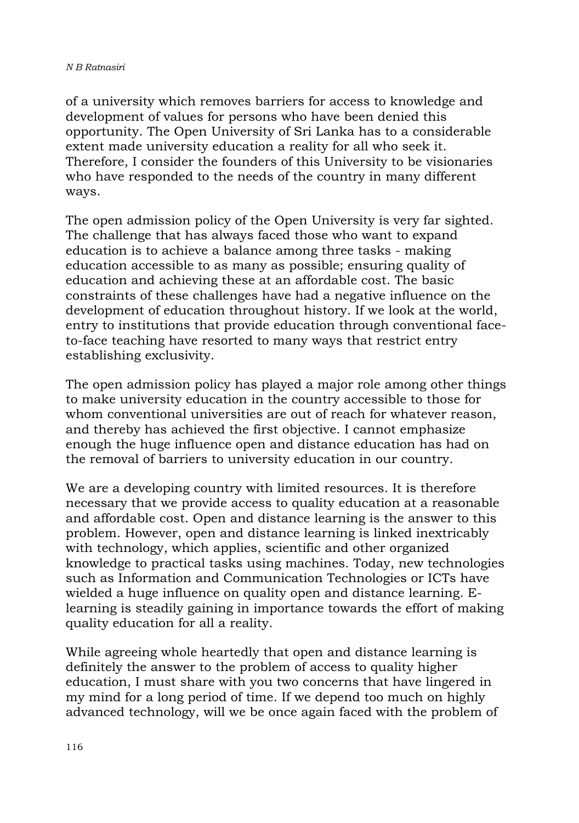of a university which removes barriers for access to knowledge and development of values for persons who have been denied this opportunity. The Open University of Sri Lanka has to a considerable extent made university education a reality for all who seek it. Therefore, I consider the founders of this University to be visionaries who have responded to the needs of the country in many different ways.

The open admission policy of the Open University is very far sighted. The challenge that has always faced those who want to expand education is to achieve a balance among three tasks - making education accessible to as many as possible; ensuring quality of education and achieving these at an affordable cost. The basic constraints of these challenges have had a negative influence on the development of education throughout history. If we look at the world, entry to institutions that provide education through conventional faceto-face teaching have resorted to many ways that restrict entry establishing exclusivity.

The open admission policy has played a major role among other things to make university education in the country accessible to those for whom conventional universities are out of reach for whatever reason, and thereby has achieved the first objective. I cannot emphasize enough the huge influence open and distance education has had on the removal of barriers to university education in our country.

We are a developing country with limited resources. It is therefore necessary that we provide access to quality education at a reasonable and affordable cost. Open and distance learning is the answer to this problem. However, open and distance learning is linked inextricably with technology, which applies, scientific and other organized knowledge to practical tasks using machines. Today, new technologies such as Information and Communication Technologies or ICTs have wielded a huge influence on quality open and distance learning. Elearning is steadily gaining in importance towards the effort of making quality education for all a reality.

While agreeing whole heartedly that open and distance learning is definitely the answer to the problem of access to quality higher education, I must share with you two concerns that have lingered in my mind for a long period of time. If we depend too much on highly advanced technology, will we be once again faced with the problem of